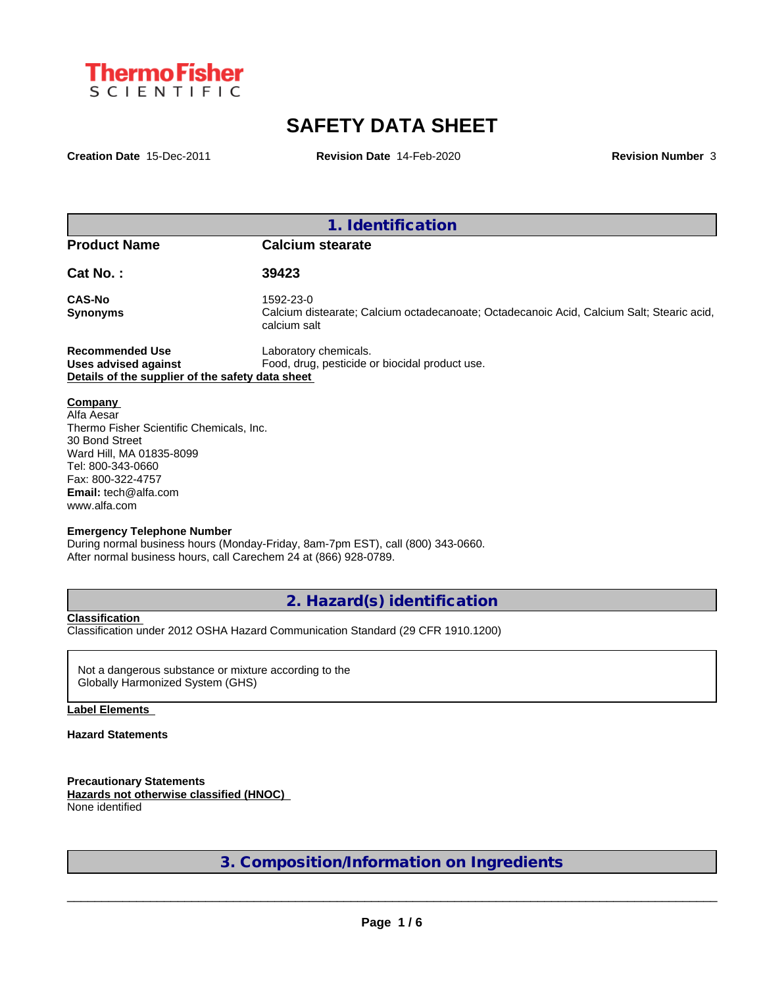

# **SAFETY DATA SHEET**

**Creation Date** 15-Dec-2011 **Revision Date** 14-Feb-2020 **Revision Number** 3

**1. Identification**

**Product Name Calcium stearate**

**Cat No. : 39423**

**CAS-No** 1592-23-0

**Synonyms** Calcium distearate; Calcium octadecanoate; Octadecanoic Acid, Calcium Salt; Stearic acid, calcium salt

**Recommended Use** Laboratory chemicals. **Uses advised against** Food, drug, pesticide or biocidal product use. **Details of the supplier of the safety data sheet**

**Company**  Alfa Aesar Thermo Fisher Scientific Chemicals, Inc. 30 Bond Street Ward Hill, MA 01835-8099 Tel: 800-343-0660 Fax: 800-322-4757 **Email:** tech@alfa.com www.alfa.com

#### **Emergency Telephone Number**

During normal business hours (Monday-Friday, 8am-7pm EST), call (800) 343-0660. After normal business hours, call Carechem 24 at (866) 928-0789.

**2. Hazard(s) identification**

#### **Classification**

Classification under 2012 OSHA Hazard Communication Standard (29 CFR 1910.1200)

Not a dangerous substance or mixture according to the Globally Harmonized System (GHS)

#### **Label Elements**

#### **Hazard Statements**

**Precautionary Statements Hazards not otherwise classified (HNOC)** None identified

**3. Composition/Information on Ingredients**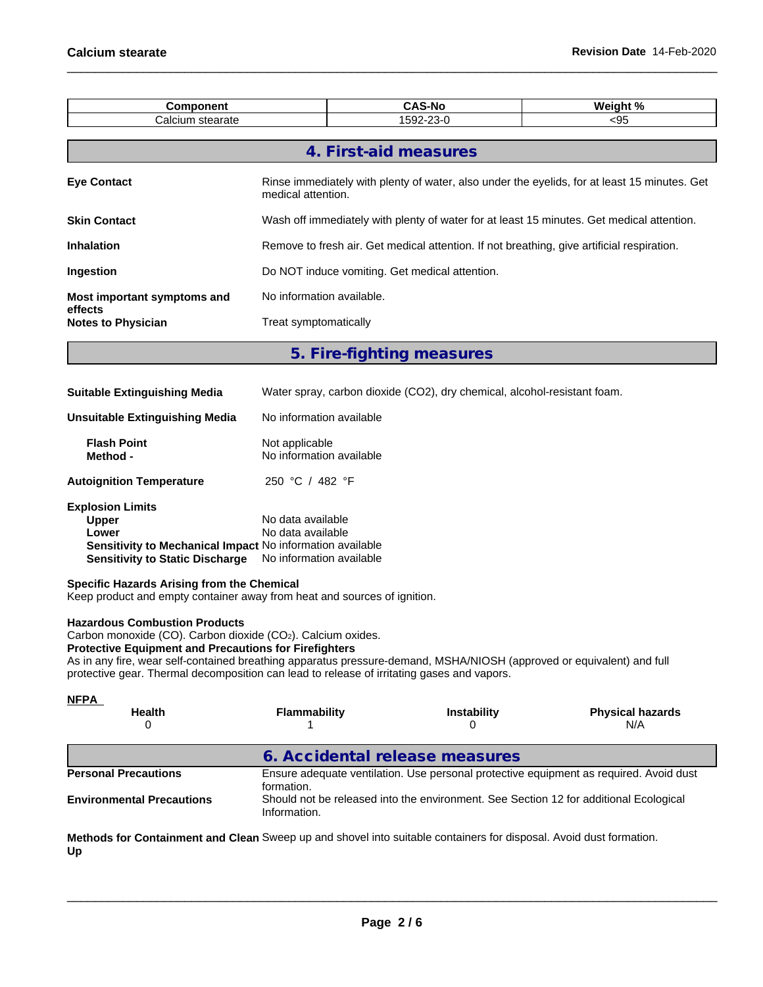| <b>Component</b>                       |                                                                                                                    | <b>CAS-No</b>         | Weight % |  |  |  |  |
|----------------------------------------|--------------------------------------------------------------------------------------------------------------------|-----------------------|----------|--|--|--|--|
| Calcium stearate                       |                                                                                                                    | 1592-23-0             | $95$     |  |  |  |  |
|                                        |                                                                                                                    |                       |          |  |  |  |  |
|                                        |                                                                                                                    | 4. First-aid measures |          |  |  |  |  |
| <b>Eye Contact</b>                     | Rinse immediately with plenty of water, also under the eyelids, for at least 15 minutes. Get<br>medical attention. |                       |          |  |  |  |  |
| <b>Skin Contact</b>                    | Wash off immediately with plenty of water for at least 15 minutes. Get medical attention.                          |                       |          |  |  |  |  |
| <b>Inhalation</b>                      | Remove to fresh air. Get medical attention. If not breathing, give artificial respiration.                         |                       |          |  |  |  |  |
| <b>Ingestion</b>                       | Do NOT induce vomiting. Get medical attention.                                                                     |                       |          |  |  |  |  |
| Most important symptoms and<br>effects | No information available.                                                                                          |                       |          |  |  |  |  |
| <b>Notes to Physician</b>              | Treat symptomatically                                                                                              |                       |          |  |  |  |  |
|                                        |                                                                                                                    |                       |          |  |  |  |  |

**5. Fire-fighting measures**

| Water spray, carbon dioxide (CO2), dry chemical, alcohol-resistant foam.                                                               |
|----------------------------------------------------------------------------------------------------------------------------------------|
| No information available                                                                                                               |
| Not applicable<br>No information available                                                                                             |
| 250 °C / 482 °F                                                                                                                        |
| No data available<br>No data available<br><b>Sensitivity to Mechanical Impact No information available</b><br>No information available |
|                                                                                                                                        |

## **Specific Hazards Arising from the Chemical**

Keep product and empty container away from heat and sources of ignition.

#### **Hazardous Combustion Products**

Carbon monoxide (CO). Carbon dioxide (CO2). Calcium oxides.

## **Protective Equipment and Precautions for Firefighters**

As in any fire, wear self-contained breathing apparatus pressure-demand, MSHA/NIOSH (approved or equivalent) and full protective gear. Thermal decomposition can lead to release of irritating gases and vapors.

| <b>NFPA</b>                      |                                |                                                                                       |                                                                                        |
|----------------------------------|--------------------------------|---------------------------------------------------------------------------------------|----------------------------------------------------------------------------------------|
| <b>Health</b>                    | <b>Flammability</b>            | <b>Instability</b>                                                                    | <b>Physical hazards</b><br>N/A                                                         |
|                                  | 6. Accidental release measures |                                                                                       |                                                                                        |
| <b>Personal Precautions</b>      | formation.                     |                                                                                       | Ensure adequate ventilation. Use personal protective equipment as required. Avoid dust |
| <b>Environmental Precautions</b> | Information.                   | Should not be released into the environment. See Section 12 for additional Ecological |                                                                                        |
|                                  |                                |                                                                                       |                                                                                        |

**Methods for Containment and Clean** Sweep up and shovel into suitable containers for disposal. Avoid dust formation. **Up**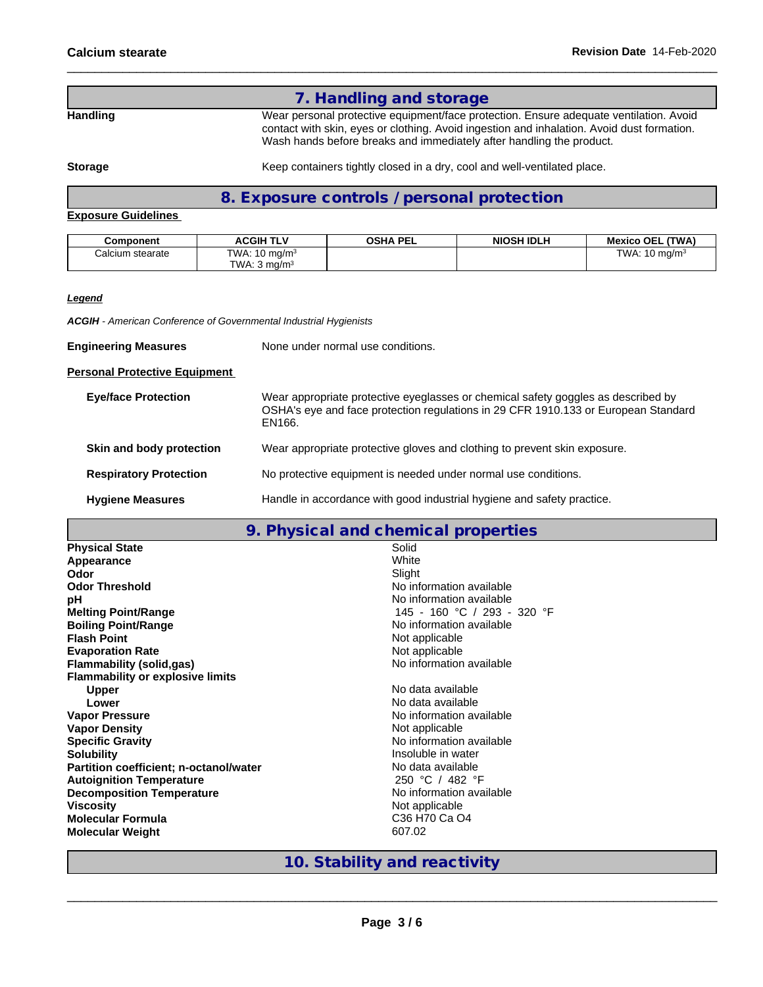# **7. Handling and storage** Handling **Handling** Wear personal protective equipment/face protection. Ensure adequate ventilation. Avoid contact with skin, eyes or clothing. Avoid ingestion and inhalation. Avoid dust formation. Wash hands before breaks and immediately after handling the product.

**Storage** Keep containers tightly closed in a dry, cool and well-ventilated place.

# **8. Exposure controls / personal protection**

# **Exposure Guidelines**

| Component        | <b>ACGIH TLV</b>         | OSHA PEL | <b>NIOSH IDLH</b> | Mexico OEL (TWA)         |
|------------------|--------------------------|----------|-------------------|--------------------------|
| Calcium stearate | TWA: $10 \text{ ma/m}^3$ |          |                   | TWA: $10 \text{ mg/m}^3$ |
|                  | TWA: $3 \text{ ma/m}^3$  |          |                   |                          |

*Legend*

*ACGIH - American Conference of Governmental Industrial Hygienists*

**Engineering Measures** None under normal use conditions.

## **Personal Protective Equipment**

| <b>Eye/face Protection</b>    | Wear appropriate protective eyeglasses or chemical safety goggles as described by<br>OSHA's eye and face protection regulations in 29 CFR 1910.133 or European Standard<br>EN166. |
|-------------------------------|-----------------------------------------------------------------------------------------------------------------------------------------------------------------------------------|
| Skin and body protection      | Wear appropriate protective gloves and clothing to prevent skin exposure.                                                                                                         |
| <b>Respiratory Protection</b> | No protective equipment is needed under normal use conditions.                                                                                                                    |
| <b>Hygiene Measures</b>       | Handle in accordance with good industrial hygiene and safety practice.                                                                                                            |

# **9. Physical and chemical properties**

| <b>Physical State</b>                   | Solid                       |
|-----------------------------------------|-----------------------------|
| Appearance                              | White                       |
| Odor                                    | Slight                      |
| <b>Odor Threshold</b>                   | No information available    |
| pH                                      | No information available    |
| <b>Melting Point/Range</b>              | 145 - 160 °C / 293 - 320 °F |
| <b>Boiling Point/Range</b>              | No information available    |
| <b>Flash Point</b>                      | Not applicable              |
| <b>Evaporation Rate</b>                 | Not applicable              |
| Flammability (solid,gas)                | No information available    |
| <b>Flammability or explosive limits</b> |                             |
| <b>Upper</b>                            | No data available           |
| Lower                                   | No data available           |
| <b>Vapor Pressure</b>                   | No information available    |
| <b>Vapor Density</b>                    | Not applicable              |
| <b>Specific Gravity</b>                 | No information available    |
| <b>Solubility</b>                       | Insoluble in water          |
| Partition coefficient; n-octanol/water  | No data available           |
| <b>Autoignition Temperature</b>         | 250 °C / 482 °F             |
| <b>Decomposition Temperature</b>        | No information available    |
| <b>Viscosity</b>                        | Not applicable              |
| <b>Molecular Formula</b>                | C36 H70 Ca O4               |
| <b>Molecular Weight</b>                 | 607.02                      |
|                                         |                             |

**10. Stability and reactivity**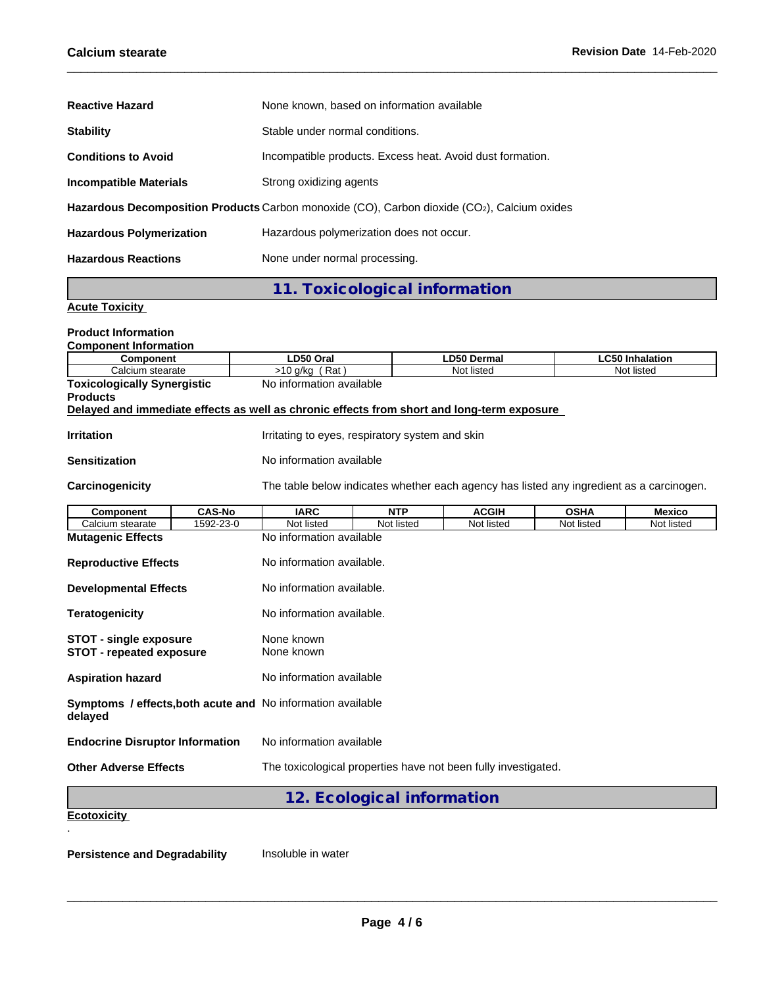| <b>Reactive Hazard</b>          | None known, based on information available                                                  |
|---------------------------------|---------------------------------------------------------------------------------------------|
| <b>Stability</b>                | Stable under normal conditions.                                                             |
| <b>Conditions to Avoid</b>      | Incompatible products. Excess heat. Avoid dust formation.                                   |
| <b>Incompatible Materials</b>   | Strong oxidizing agents                                                                     |
|                                 | Hazardous Decomposition Products Carbon monoxide (CO), Carbon dioxide (CO2), Calcium oxides |
| <b>Hazardous Polymerization</b> | Hazardous polymerization does not occur.                                                    |
| <b>Hazardous Reactions</b>      | None under normal processing.                                                               |

**11. Toxicological information**

# **Acute Toxicity**

| <b>Product Information</b>                                                                                    |                                    |                           |                                                 |                                                                                          |             |                        |  |  |  |  |
|---------------------------------------------------------------------------------------------------------------|------------------------------------|---------------------------|-------------------------------------------------|------------------------------------------------------------------------------------------|-------------|------------------------|--|--|--|--|
| <b>Component Information</b><br><b>Component</b>                                                              |                                    | LD50 Oral                 |                                                 | <b>LD50 Dermal</b>                                                                       |             | <b>LC50 Inhalation</b> |  |  |  |  |
| Calcium stearate                                                                                              |                                    | $>10$ g/kg (Rat)          |                                                 | Not listed                                                                               |             | Not listed             |  |  |  |  |
|                                                                                                               | <b>Toxicologically Synergistic</b> |                           | No information available                        |                                                                                          |             |                        |  |  |  |  |
| <b>Products</b><br>Delayed and immediate effects as well as chronic effects from short and long-term exposure |                                    |                           |                                                 |                                                                                          |             |                        |  |  |  |  |
| <b>Irritation</b>                                                                                             |                                    |                           | Irritating to eyes, respiratory system and skin |                                                                                          |             |                        |  |  |  |  |
| <b>Sensitization</b>                                                                                          |                                    | No information available  |                                                 |                                                                                          |             |                        |  |  |  |  |
| Carcinogenicity                                                                                               |                                    |                           |                                                 | The table below indicates whether each agency has listed any ingredient as a carcinogen. |             |                        |  |  |  |  |
| <b>Component</b>                                                                                              | <b>CAS-No</b>                      | <b>IARC</b>               | <b>NTP</b>                                      | <b>ACGIH</b>                                                                             | <b>OSHA</b> | <b>Mexico</b>          |  |  |  |  |
| Calcium stearate                                                                                              | 1592-23-0                          | Not listed                | Not listed                                      | Not listed                                                                               | Not listed  | Not listed             |  |  |  |  |
| <b>Mutagenic Effects</b>                                                                                      |                                    | No information available  |                                                 |                                                                                          |             |                        |  |  |  |  |
| <b>Reproductive Effects</b>                                                                                   |                                    | No information available. |                                                 |                                                                                          |             |                        |  |  |  |  |
| <b>Developmental Effects</b>                                                                                  |                                    | No information available. |                                                 |                                                                                          |             |                        |  |  |  |  |
| <b>Teratogenicity</b>                                                                                         |                                    | No information available. |                                                 |                                                                                          |             |                        |  |  |  |  |
| <b>STOT - single exposure</b><br><b>STOT - repeated exposure</b>                                              |                                    | None known<br>None known  |                                                 |                                                                                          |             |                        |  |  |  |  |
| <b>Aspiration hazard</b>                                                                                      |                                    | No information available  |                                                 |                                                                                          |             |                        |  |  |  |  |
| Symptoms / effects, both acute and No information available<br>delayed                                        |                                    |                           |                                                 |                                                                                          |             |                        |  |  |  |  |
| <b>Endocrine Disruptor Information</b>                                                                        |                                    | No information available  |                                                 |                                                                                          |             |                        |  |  |  |  |
| <b>Other Adverse Effects</b>                                                                                  |                                    |                           |                                                 | The toxicological properties have not been fully investigated.                           |             |                        |  |  |  |  |
|                                                                                                               |                                    |                           | 12. Ecological information                      |                                                                                          |             |                        |  |  |  |  |
| <b>Ecotoxicity</b>                                                                                            |                                    |                           |                                                 |                                                                                          |             |                        |  |  |  |  |
|                                                                                                               |                                    |                           |                                                 |                                                                                          |             |                        |  |  |  |  |

**Persistence and Degradability** Insoluble in water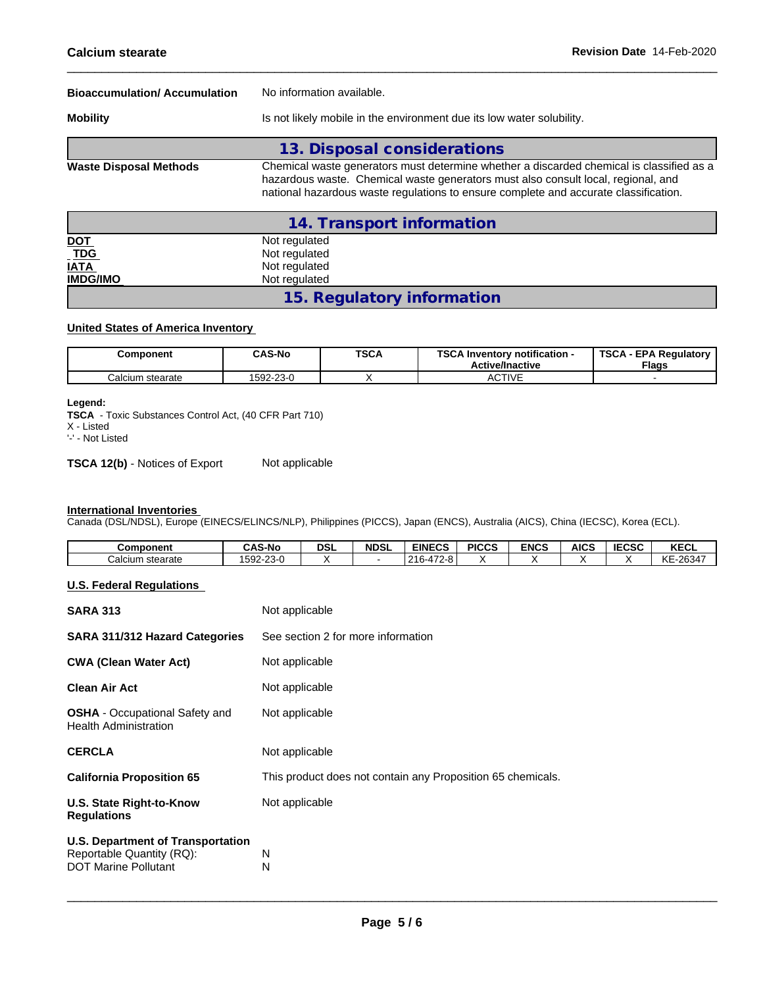| <b>Bioaccumulation/Accumulation</b> | No information available.                                                                                                                                                                                                                                             |  |  |  |  |  |
|-------------------------------------|-----------------------------------------------------------------------------------------------------------------------------------------------------------------------------------------------------------------------------------------------------------------------|--|--|--|--|--|
| <b>Mobility</b>                     | Is not likely mobile in the environment due its low water solubility.                                                                                                                                                                                                 |  |  |  |  |  |
|                                     | 13. Disposal considerations                                                                                                                                                                                                                                           |  |  |  |  |  |
| <b>Waste Disposal Methods</b>       | Chemical waste generators must determine whether a discarded chemical is classified as a<br>hazardous waste. Chemical waste generators must also consult local, regional, and<br>national hazardous waste regulations to ensure complete and accurate classification. |  |  |  |  |  |
|                                     | 14. Transport information                                                                                                                                                                                                                                             |  |  |  |  |  |
| <u>DOT</u>                          | Not regulated                                                                                                                                                                                                                                                         |  |  |  |  |  |
| $\_TDG$                             | Not regulated                                                                                                                                                                                                                                                         |  |  |  |  |  |
| <b>IATA</b>                         | Not regulated                                                                                                                                                                                                                                                         |  |  |  |  |  |
| <b>IMDG/IMO</b>                     | Not regulated                                                                                                                                                                                                                                                         |  |  |  |  |  |

# **United States of America Inventory**

| Component        | <b>CAS-No</b>                      | <b>TSCA</b> | TOO ALL<br>$\cdots$<br>- Inventory notification ا<br><b>Active/Inactive</b> | <b>TSCA</b><br><b>EPA Requiatory</b><br><b>Flags</b> |
|------------------|------------------------------------|-------------|-----------------------------------------------------------------------------|------------------------------------------------------|
| Calcium stearate | $\sim$ $\sim$<br>rnn<br>I 592-Z3-U |             | <b>CTIVE</b><br>nu                                                          |                                                      |

**15. Regulatory information**

#### **Legend:**

**TSCA** - Toxic Substances Control Act, (40 CFR Part 710) X - Listed

'-' - Not Listed

**TSCA 12(b)** - Notices of Export Not applicable

#### **International Inventories**

Canada (DSL/NDSL), Europe (EINECS/ELINCS/NLP), Philippines (PICCS), Japan (ENCS), Australia (AICS), China (IECSC), Korea (ECL).

| Component        | ີ AS-No                 | <b>DSL</b> | <b>NDSL</b> | <b>EINECS</b>               | <b>PICCS</b> | <b>ENCS</b> | <b>AICS</b> | <b>IECSC</b> | <b>VECI</b><br>ncul         |
|------------------|-------------------------|------------|-------------|-----------------------------|--------------|-------------|-------------|--------------|-----------------------------|
| Calcium stearate | $\sim$<br>592<br>'-23-C |            |             | 472-8<br>$\sim$<br>∫−∼<br>. |              |             |             |              | 00017<br>10F<br>-2034<br>↖⊏ |

## **U.S. Federal Regulations**

| <b>SARA 313</b>                                                                                      | Not applicable                                              |
|------------------------------------------------------------------------------------------------------|-------------------------------------------------------------|
| <b>SARA 311/312 Hazard Categories</b>                                                                | See section 2 for more information                          |
| <b>CWA (Clean Water Act)</b>                                                                         | Not applicable                                              |
| Clean Air Act                                                                                        | Not applicable                                              |
| <b>OSHA</b> - Occupational Safety and<br><b>Health Administration</b>                                | Not applicable                                              |
| <b>CERCLA</b>                                                                                        | Not applicable                                              |
| <b>California Proposition 65</b>                                                                     | This product does not contain any Proposition 65 chemicals. |
| <b>U.S. State Right-to-Know</b><br><b>Regulations</b>                                                | Not applicable                                              |
| <b>U.S. Department of Transportation</b><br>Reportable Quantity (RQ):<br><b>DOT Marine Pollutant</b> | N<br>N                                                      |
|                                                                                                      |                                                             |